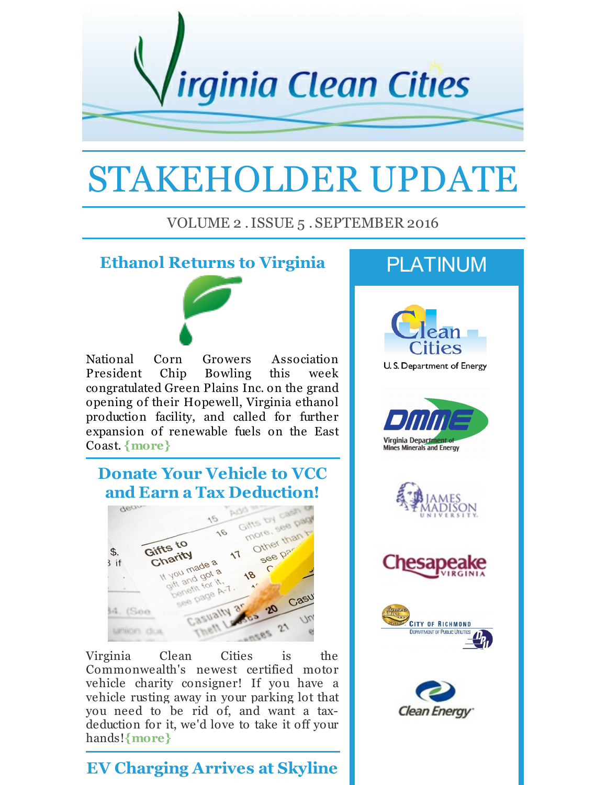

# STAKEHOLDER UPDATE

#### VOLUME 2 .ISSUE 5 . SEPTEMBER 2016

### **Ethanol Returns to Virginia**



National Corn Growers Association President Chip Bowling this week congratulated Green Plains Inc. on the grand opening of their Hopewell, Virginia ethanol production facility, and called for further expansion of renewable fuels on the East Coast. **[{more}](http://r20.rs6.net/tn.jsp?f=001tBGrRrb8_jXJmWWkpT2v-pG2AQERWN5FprDxGAFE1E1_y3f_Np47qhQL2b2Mo-O5vcWhcnjCBAJamXb98sV6MDbGe9k2Q_uJrhDOrguGNoK680JUCTrLBU5k6XmRoqlueeC-canN_7H4Gksk5GF2ft6rRcArynLtUZf6MmvM-E_NvBn_5DbcwKuc_oHDprecYg9ZlndS9oJHkZJ24mPsta7fJECVMHQUXJEkhgquvVMrUHIiLnjv9qiXHdUqWvs4q5AlHwsbsyBtD-ciXkafPy77WZV_1yzyKaRSj0BwXUKoDvi10Zj-SWBogfB2KCNH1QmGkYbjZ-TMo5b6orL3dr27RcMjTJ6uuUtzacmYNswMQ6pRFk4RCdANsuN4TqaD&c=&ch=)**

## **Donate Your Vehicle to VCC and Earn a Tax Deduction!**



Virginia Clean Cities is the Commonwealth's newest certified motor vehicle charity consigner! If you have a vehicle rusting away in your parking lot that you need to be rid of, and want a taxdeduction for it, we'd love to take it off your hands!**[{more}](http://r20.rs6.net/tn.jsp?f=001tBGrRrb8_jXJmWWkpT2v-pG2AQERWN5FprDxGAFE1E1_y3f_Np47qhQL2b2Mo-O5Jyd--g-GmnSnHyhkAW6m_gRbw8xKkRoaY4eOcoUloCRfniJcmnZMYmgyaPWYmJlrVzdRWayrJQ0uGsMekvqGUIJO7HI_L1lL3WOeIxPDNvY5ddr3Gj8mn3H3fI-ZqD11fw9iHS1TXJKUCRD4qp4a390XazaXu_fRFVNd7biqvKtir7N53v0JOw6MC89XdaILbTqGEwCLFpTsjXzobEQrYy0ThyvZMvguVzZuzwHxXX7MIWJlk2Rbd3g9quEIAI2YASOG4XXeUai01N6zXud9XWZC7tJWXSIiY_SFbDwn8EwR7zWx9IeSTc-_ilBS9pHFf3mwYAVGSeV2rRoEiKGs6ail35raMKmJ7OhtKtMnWMEhdetqf9A2vw==&c=&ch=)**

## **EV Charging Arrives at Skyline**

# PLATINUM











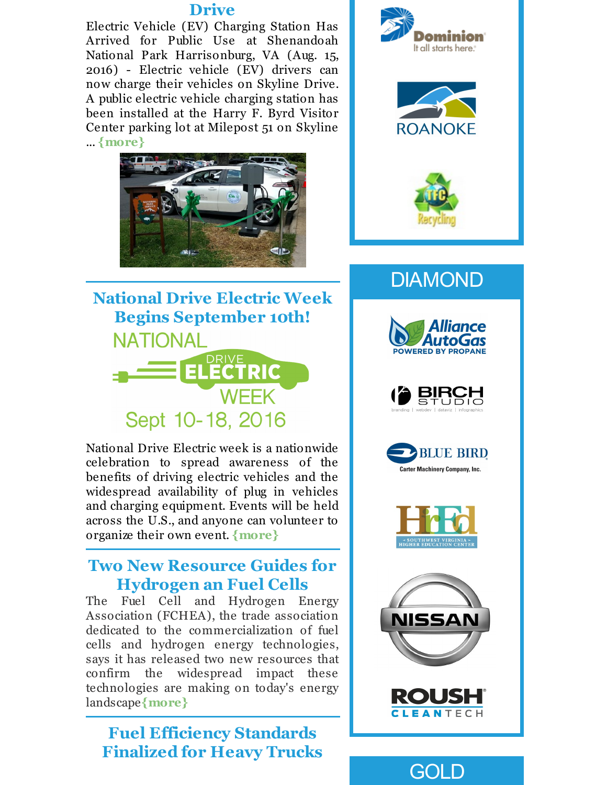#### **Drive**

Electric Vehicle (EV) Charging Station Has Arrived for Public Use at Shenandoah National Park Harrisonburg, VA (Aug. 15, 2016) - Electric vehicle (EV) drivers can now charge their vehicles on Skyline Drive. A public electric vehicle charging station has been installed at the Harry F. Byrd Visitor Center parking lot at Milepost 51 on Skyline ... **[{more}](http://r20.rs6.net/tn.jsp?f=001tBGrRrb8_jXJmWWkpT2v-pG2AQERWN5FprDxGAFE1E1_y3f_Np47qhQL2b2Mo-O5whv5qqA8oLUVaEjMkql1Y2P5SOESQWM5-TFtdanWQuLZaImugyghQu0kutdlRJqXplh99aeqoRKL7D7AwvkkJLxVt05kCZGR_EGa9_rhCOXQvnEPSJUz7z3mriFf7e1NuzVZZ6xZakdV7AWalcfmS2Up3ChABPjZz6DYQnrCv0WZmILK518nEm0f2NdJRZGC0nIltXxxjZv8Hpt6wAlfXvpmoOqzwmgaYh2qzopBP0nz2oM8uPxygNjfnmGbcqyuVi4o3u2B881Q1zH5-IV-l3F9fId1W_hmE0FIckBdzN5cNV6OUedwDKVTwQrx-QnjlfGoi23E_R_HlYsqU52mcAonuniPfAMxEf_vw-rY8YqHew982PCrx6n2Bk18MrPXlrZLOYAEuw7UD3uSekpWbw==&c=&ch=)**





National Drive Electric week is a nationwide celebration to spread awareness of the benefits of driving electric vehicles and the widespread availability of plug in vehicles and charging equipment. Events will be held across the U.S., and anyone can volunteer to organize their own event. **[{more}](http://r20.rs6.net/tn.jsp?f=001tBGrRrb8_jXJmWWkpT2v-pG2AQERWN5FprDxGAFE1E1_y3f_Np47qpX_0Ke8Ap4YCW2Ys5sGYIx1vEoTW0YNAzs6drWzG59FiBRwy9jfZb5zn4QhPYSkvzPiEdLaBv90h4VF1WBXcGKldBm2vsESs_VeQYnHySA21mmzmOrtOsbWO1exFB7Bfz-rXCMc5mOXFfShqjTn3yW75WEwO92MvPo08TuNqVcVz1DXWfJJxmgixnFOWpmOagmvt3VjGAEe354IhQLnC_deC_W-NSKc5Uv9-55mtXdibsXwOJip329A-PGN6VL4PWjZ9ofI-itgGj7g_-KW1cvD4BIsjrDeMjBET_k9S1xHj64izj7dATuMStDYngQKlmfIxrE8YUaOe3N3mkYj3QJgYWk_eYwb02sB9xUJa-ha&c=&ch=)**

#### **Two New Resource Guides for Hydrogen an Fuel Cells**

The Fuel Cell and Hydrogen Energy Association (FCHEA), the trade association dedicated to the commercialization of fuel cells and hydrogen energy technologies, says it has released two new resources that confirm the widespread impact these technologies are making on today's energy landscape**[{more}](http://r20.rs6.net/tn.jsp?f=001tBGrRrb8_jXJmWWkpT2v-pG2AQERWN5FprDxGAFE1E1_y3f_Np47qhQL2b2Mo-O57HAiZoYDXOEfRag1pgw5gWDRnVBuvKakboUfivNXVaHlT41Sg2XManEYQsRjuwgrfSM56-H-gZ-N0BxjIJLRmMi_zdx21s80gfxN35vRPqsJ_JgyipN7dA6bzCKorOg64ZqOgqWNgc4QMts9PZkNj9QTeAcSClkxySWE2KnW0wKPXc8dvivO_f0Z0cbsMlXID853LatJ0i7ITJDgPQ2-OoEiCHyXub8IUQMwCOvxF4M_ZqlH-yO7PDm8O6Z4qu32t8H5Uf1tFPHYDZmPk5t3AckBK_vNDUn0l0KNzdu4bYa_6mvFgmsZnKXqDAfeVg8E775aTin4-I8wCcLfwJWgRxqlswJgqZkDF03I6vKvq_4=&c=&ch=)**

## **Fuel Efficiency Standards Finalized for Heavy Trucks**







# DIAMOND











GOLD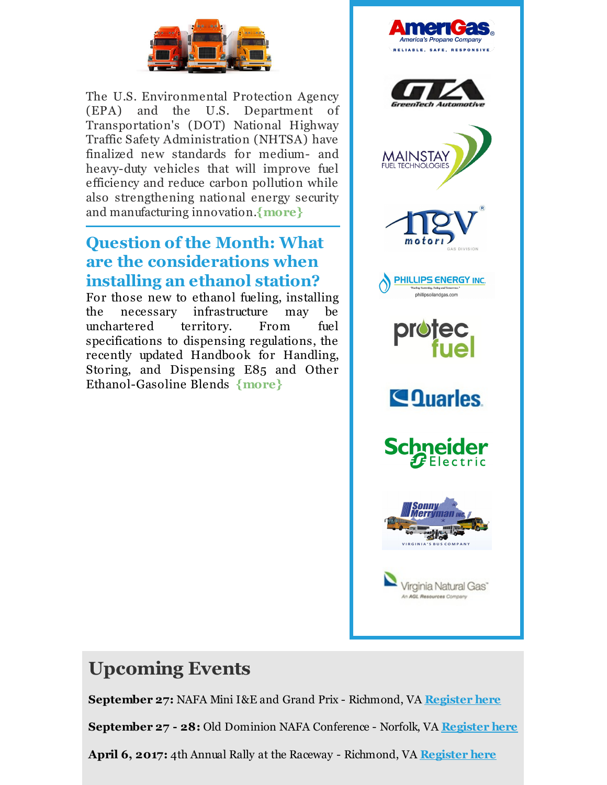

The U.S. Environmental Protection Agency (EPA) and the U.S. Department of Transportation's (DOT) National Highway Traffic Safety Administration (NHTSA) have finalized new standards for medium- and heavy-duty vehicles that will improve fuel efficiency and reduce carbon pollution while also strengthening national energy security and manufacturing innovation.**[{more}](http://r20.rs6.net/tn.jsp?f=001tBGrRrb8_jXJmWWkpT2v-pG2AQERWN5FprDxGAFE1E1_y3f_Np47qhQL2b2Mo-O5uwtCwTQznfL0T4xiAlUNkuvZnAxbhO4xFWozJJWS0YN7yJlG-lgTJvwJYCcIEvKhuLtxW8prTMC2d-npqkp0hB293BYXHjtDosRbH-7DBO4Mv5pR-tFBSkTgm-0udXU-oS59munKiUYsR_SmV_ZJhYAfpmMsFPi6ThrmBlEHTL8_UkeUmBtJTbP4kO7jLGY0N5yDX6r1Rkb4Bihy5YJx6ENUG9g6gmJmBmUidbcA2Bp7NkR1nMRurKUzDELKL6qJmXOK7WH9WeR9c604WiiV1oSms5IdzYxMPTiqetojytqcae6spYTLCtSy4pect9jxCcS3j8A3LiyvhUezipDOZi0ueE5H_ERhBM8dok9ACiA=&c=&ch=)**

## **Question of the Month: What are the considerations when installing an ethanol station?**

For those new to ethanol fueling, installing the necessary infrastructure may be unchartered territory. From fuel specifications to dispensing regulations, the recently updated Handbook for Handling, Storing, and Dispensing E85 and Other Ethanol-Gasoline Blends **[{more}](http://r20.rs6.net/tn.jsp?f=001tBGrRrb8_jXJmWWkpT2v-pG2AQERWN5FprDxGAFE1E1_y3f_Np47qhQL2b2Mo-O50b6QMWAHwDWpObrLsH_YWP3WEFdTWn9kjyIjEYbuOZxaa68F-OhY0V-9ZU0JdqintA38J3x6qHDEQkZ7tJ_T4E3MXF27B6AGkPkK1wGDnUrUwHGaLmkUdY746NQ7irr8kmqGhhM-UgWo195TljyOpB8KasMeB7893iKcQWn7s_IHCcIxWpdnUNPxayvX3vIfUV3x33fiXzAI1B8pmyFgdO8FCxB9HRkQEdxJl2E2dvu65Kq-3dDOGlRccJn51VOFc_0EN3LuHocio_iTX18bIkCjgK1pnssPyhEBtibIZ1ptEAuZ4c3r7wfcdFSz_7JFqAvpgcw1SHexJLd-lxByHW44lP07XmAibqOJkbFTp22evFv3Zoh4exJSmUW-VWLRsnGOG9WnAIaM-ZDGZcaPgthQExZLKIE8Ab6PSDKf-bg=&c=&ch=)**



## **Upcoming Events**

**September 27:** NAFA Mini I&E and Grand Prix - Richmond, VA **[Register](http://r20.rs6.net/tn.jsp?f=001tBGrRrb8_jXJmWWkpT2v-pG2AQERWN5FprDxGAFE1E1_y3f_Np47qtb6vm5u2fRQcA6TIOVJ_GKfdyzLcATwNTaGAGaXnClQO4vgDUYQw3A-bRwPsTOdbuBFbvt_GSRmVXuv1pFmTp0Lo08nidVaayxT7ezv9uksfMrWxGOXUOgkFVj1aoNZv_gABuH5ZS8zNhk67gR7PDRuVHi1dF0aVLfbvN225jlqZQ-5MKTtQkB7a8UEGJ9sKnXRhSHy-y_XV-1MfMqDeja-SmnBT9ezfH9N1YCZCSKwMR3IAhOvsgIGnB1v3UPqXlL8hhRSX6T1Ogx-5dWrvR_IMyrAc1ygkM5PSxy_OmqTtIBDzoCxMeIb5X_nMR4SD8vn4Ivgl8g38G41OXiiKiN5XUJksdTYltnG2QQkWy__tmDNu8zBKFptr77bX2gfjQtqNRtqoRRlYqj1aONtaVKrxQggXn2E0y6RwAIkZN5s&c=&ch=) here**

**September 27 - 28:** Old Dominion NAFA Conference - Norfolk, VA **[Register](http://r20.rs6.net/tn.jsp?f=001tBGrRrb8_jXJmWWkpT2v-pG2AQERWN5FprDxGAFE1E1_y3f_Np47qvNI4EbYrW8jafIjrCIeZefkvfZF5sbTGZwUQv5zoQZF87lCANeFmaWEktacrbIqydFmnCDKoPSvBkvsGS-Lmuk0t4egCxhWzNILF0XiqdUf8JoV_jog7dULr2Wa2gUCrTSmnJRqytFMTbPDaFqdLHiEKpn3YpXswBY4euKgtoVWVwyUSemg-9XT5V1pLdtbMwdEObW7wtTA0aub6hKbQVmwGiQUXFO269_1iuS_OtNnvHXSKQaODg0ssJyLt7SCaVZnMjfgUd5EZ3u4FOwHWWPwCV4_ew0fo14SSLHceH8_supcCmBzwzjH36g_7pXeHnnP86SA1GefMSL71XW5EA44klpIz9H-5f2-QfCmsaBSgzvvKbW7W0GKWMOeUXmqBNfnXMLLzb2dRb31wllMh5bcxDGWkk0p5d1DIIpeXoQqo82ChoE-vtg=&c=&ch=) here**

**April 6, 2017:** 4th Annual Rally at the Raceway - Richmond, VA **[Register](http://r20.rs6.net/tn.jsp?f=001tBGrRrb8_jXJmWWkpT2v-pG2AQERWN5FprDxGAFE1E1_y3f_Np47qhZ_OYrfDybfV4GmErtU-Q4WtSThHuuxy0QibUeu4oc2bPvJyO01Y4N29yHVJd8WxDotr_IYz3RrV9L_I-B3rrOHihfLOS4ysmNcOHShZeOnKlc3vBgYC1UxwtDuCWdHFbIjt9DSNl5feMyb5j4-1nycLvr6n3tf5NX_1wVYk9q43o4VsR97qNCeS1hf2tJodb2KJDCVfO6MjvEnq6qfDGhpWvU5EkipCo3teNVwZq8OmBHX8fPdtM7WNbT_loq1W1d_mwa2J8WAyIwdylfXH-K9cNcCksZjqXp-yi5DG3BXR1_jIGsyhjtK_cbkcA_ebijwRJPvZCDHAyT211pp8wtK1b2E5-V9pA-28yx7aYf-9hhdVf7g4ikNr3z5JyOIer6Z3rcl-wEKUIrPvt13rrPfES8qRTEOfx5KX9PvcR6VtavmiNlO1es=&c=&ch=) here**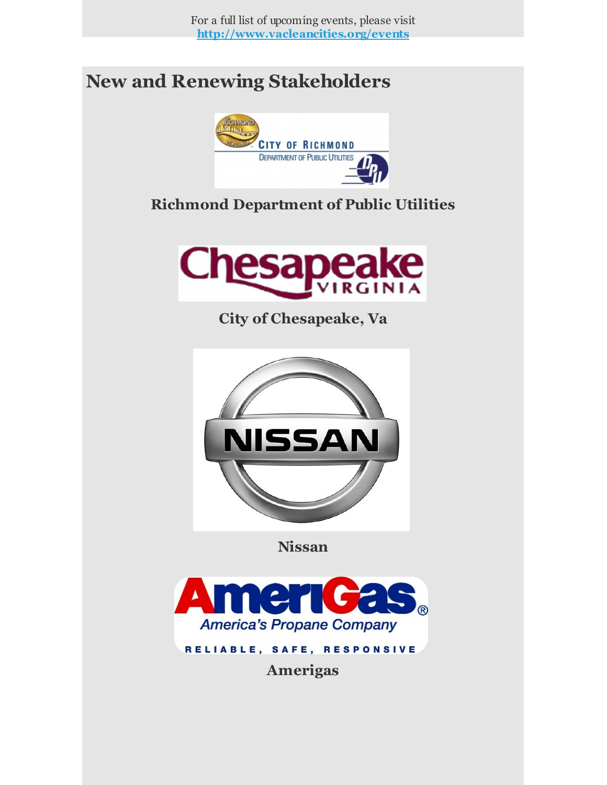For a full list of upcoming events, please visit **[http://www.vacleancities.org/events](http://r20.rs6.net/tn.jsp?f=001tBGrRrb8_jXJmWWkpT2v-pG2AQERWN5FprDxGAFE1E1_y3f_Np47qmhAu_uJPWAG73O3wNhgCXUoybcdxma3QMopAqjEsUFt-46--Q6YN0DbvVYzvW2C4x-3vQ274kqXa2s7YBPr4vu1spz35F2Vyv_7tjvVdhaHbbnuZlFAD_aFjNqpeVRf-fyfZuYWtbyiqSXb_VafGBM0O6xv-I1ARfAKXEZjIwTsAgXr9R1MSdSoUgx2a7lG-E7TdpVS0sxNCOFeK7ERoq3sxGUD3UJhZbdi3QcdnVRj8KtgjTnq5HcNV4d3WlHUeJBl6g6rWV7g-5-WM_KMlEZqMMTIUx9R9r4GRpOCOUp9&c=&ch=)**

# **New and Renewing Stakeholders**



## **Richmond Department of Public Utilities**



**City of Chesapeake, Va**



**Nissan**



**Amerigas**

RELIABLE, SAFE, RESPONSIVE